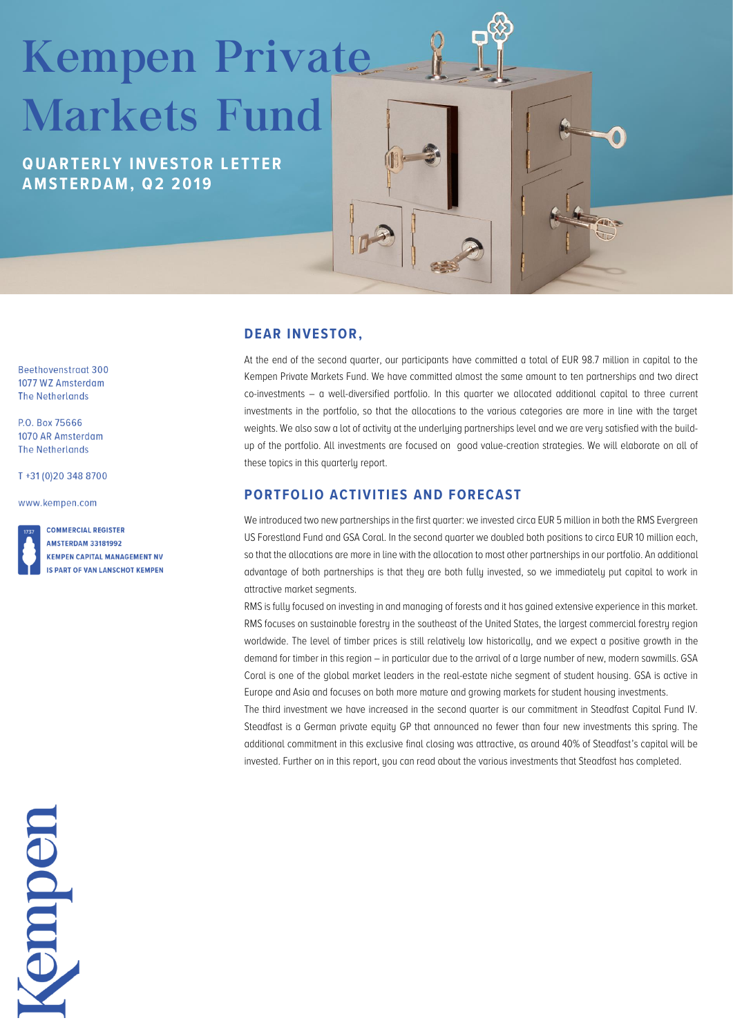# Kempen Private Markets Fund

**Q U A R T E R L Y I N V E S T O R L ETTER A M S T E R D A M , Q2 2 0 19**

Beethovenstraat 300 1077 WZ Amsterdam **The Netherlands** 

P.O. Box 75666 1070 AR Amsterdam **The Netherlands** 

T+31 (0) 20 348 8700

www.kempen.com

**COMMERCIAL REGISTER AMSTERDAM 33181992 KEMPEN CAPITAL MANAGEMENT NV IS PART OF VAN LANSCHOT KEMPEN** 

### **DEAR INVESTOR,**

At the end of the second quarter, our participants have committed a total of EUR 98.7 million in capital to the Kempen Private Markets Fund. We have committed almost the same amount to ten partnerships and two direct co-investments – a well-diversified portfolio. In this quarter we allocated additional capital to three current investments in the portfolio, so that the allocations to the various categories are more in line with the target weights. We also saw a lot of activitu at the underluing partnerships level and we are very satisfied with the buildup of the portfolio. All investments are focused on good value-creation strategies. We will elaborate on all of these topics in this quarterly report.

TRE

## **PORTFOLIO ACTIVITIES AND FORECAST**

We introduced two new partnerships in the first quarter: we invested circa EUR 5 million in both the RMS Evergreen US Forestland Fund and GSA Coral. In the second quarter we doubled both positions to circa EUR 10 million each, so that the allocations are more in line with the allocation to most other partnerships in our portfolio. An additional advantage of both partnerships is that they are both fully invested, so we immediately put capital to work in attractive market segments.

RMS is fully focused on investing in and managing of forests and it has gained extensive experience in this market. RMS focuses on sustainable forestry in the southeast of the United States, the largest commercial forestry region worldwide. The level of timber prices is still relatively low historically, and we expect a positive growth in the demand for timber in this region – in particular due to the arrival of a large number of new, modern sawmills. GSA Coral is one of the global market leaders in the real-estate niche segment of student housing. GSA is active in Europe and Asia and focuses on both more mature and growing markets for student housing investments.

The third investment we have increased in the second quarter is our commitment in Steadfast Capital Fund IV. Steadfast is a German private equity GP that announced no fewer than four new investments this spring. The additional commitment in this exclusive final closing was attractive, as around 40% of Steadfast's capital will be invested. Further on in this report, you can read about the various investments that Steadfast has completed.

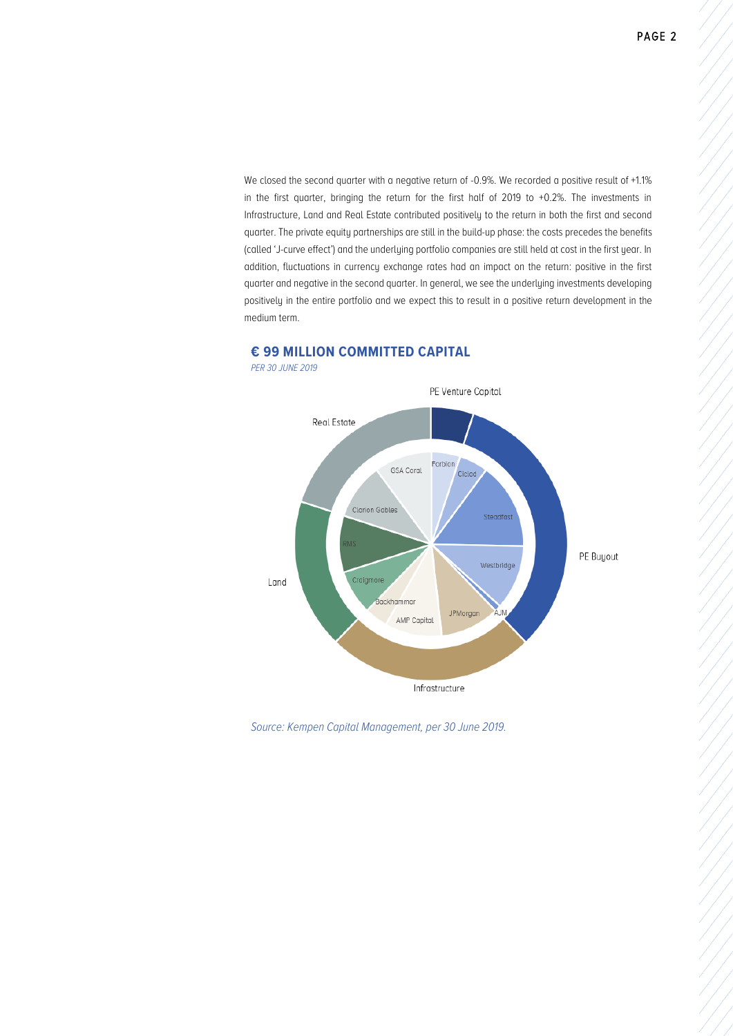We closed the second quarter with a negative return of -0.9%. We recorded a positive result of +1.1% in the first quarter, bringing the return for the first half of 2019 to +0.2%. The investments in Infrastructure, Land and Real Estate contributed positively to the return in both the first and second quarter. The private equity partnerships are still in the build-up phase: the costs precedes the benefits (called 'J-curve effect') and the underlying portfolio companies are still held at cost in the first year. In addition, fluctuations in currency exchange rates had an impact on the return: positive in the first quarter and negative in the second quarter. In general, we see the underlying investments developing positively in the entire portfolio and we expect this to result in a positive return development in the medium term.



### **€ 99 MILLION COMMITTED CAPITAL**

*Source: Kempen Capital Management, per 30 June 2019.*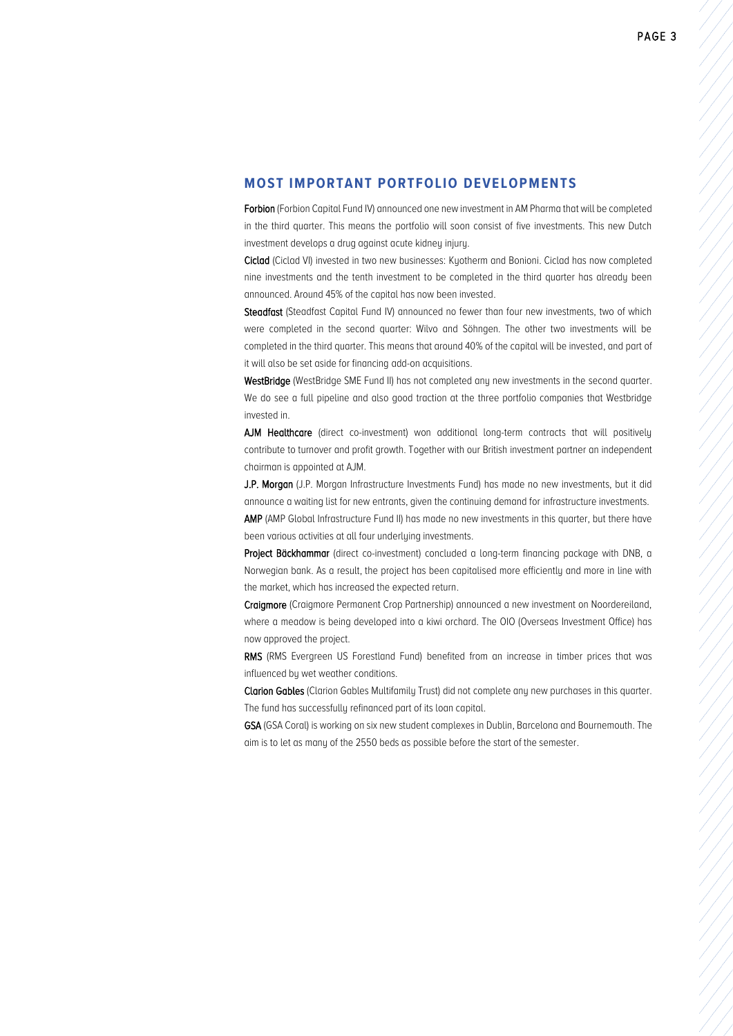#### **MOST IMPORTANT PORTFOLIO DEVELOPMENTS**

Forbion (Forbion Capital Fund IV) announced one new investment in AM Pharma that will be completed in the third quarter. This means the portfolio will soon consist of five investments. This new Dutch investment develops a drug against acute kidney injury.

Ciclad (Ciclad VI) invested in two new businesses: Kyotherm and Bonioni. Ciclad has now completed nine investments and the tenth investment to be completed in the third quarter has already been announced. Around 45% of the capital has now been invested.

Steadfast (Steadfast Capital Fund IV) announced no fewer than four new investments, two of which were completed in the second quarter: Wilvo and Söhngen. The other two investments will be completed in the third quarter. This means that around 40% of the capital will be invested, and part of it will also be set aside for financing add-on acquisitions.

WestBridge (WestBridge SME Fund II) has not completed any new investments in the second quarter. We do see a full pipeline and also good traction at the three portfolio companies that Westbridge invested in.

AJM Healthcare (direct co-investment) won additional long-term contracts that will positively contribute to turnover and profit growth. Together with our British investment partner an independent chairman is appointed at AJM.

J.P. Morgan (J.P. Morgan Infrastructure Investments Fund) has made no new investments, but it did announce a waiting list for new entrants, given the continuing demand for infrastructure investments. AMP (AMP Global Infrastructure Fund II) has made no new investments in this quarter, but there have

been various activities at all four underlying investments.

Project Bäckhammar (direct co-investment) concluded a long-term financing package with DNB, a Norwegian bank. As a result, the project has been capitalised more efficiently and more in line with the market, which has increased the expected return.

Craigmore (Craigmore Permanent Crop Partnership) announced a new investment on Noordereiland, where a meadow is being developed into a kiwi orchard. The OIO (Overseas Investment Office) has now approved the project.

RMS (RMS Evergreen US Forestland Fund) benefited from an increase in timber prices that was influenced by wet weather conditions.

Clarion Gables (Clarion Gables Multifamily Trust) did not complete any new purchases in this quarter. The fund has successfully refinanced part of its loan capital.

GSA (GSA Coral) is working on six new student complexes in Dublin, Barcelona and Bournemouth. The aim is to let as many of the 2550 beds as possible before the start of the semester.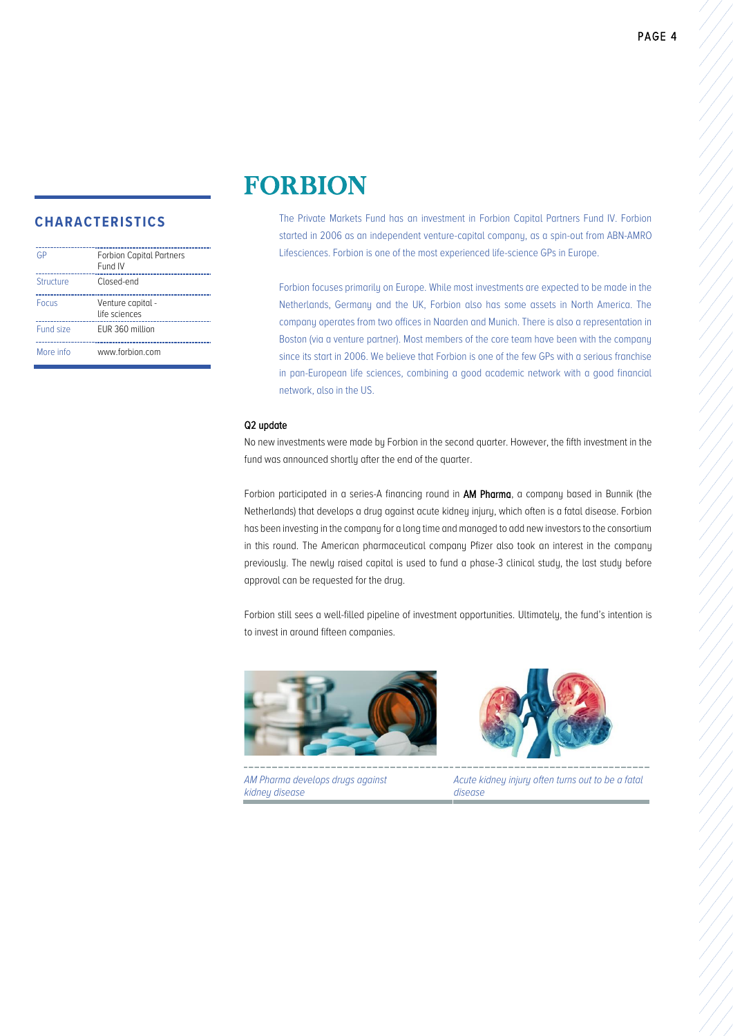| GP        | <b>Forbion Capital Partners</b><br>Fund IV |
|-----------|--------------------------------------------|
| Structure | Closed-end                                 |
| Focus     | Venture capital -<br>life sciences         |
| Fund size | EUR 360 million                            |
| More info | www.forbion.com                            |

# FORBION

The Private Markets Fund has an investment in Forbion Capital Partners Fund IV. Forbion started in 2006 as an independent venture-capital company, as a spin-out from ABN-AMRO Lifesciences. Forbion is one of the most experienced life-science GPs in Europe.

Forbion focuses primarily on Europe. While most investments are expected to be made in the Netherlands, Germany and the UK, Forbion also has some assets in North America. The company operates from two offices in Naarden and Munich. There is also a representation in Boston (via a venture partner). Most members of the core team have been with the company since its start in 2006. We believe that Forbion is one of the few GPs with a serious franchise in pan-European life sciences, combining a good academic network with a good financial network, also in the US.

#### Q2 update

No new investments were made bu Forbion in the second quarter. However, the fifth investment in the fund was announced shortly after the end of the quarter.

Forbion participated in a series-A financing round in **AM Pharma**, a company based in Bunnik (the Netherlands) that develops a drug against acute kidney injury, which often is a fatal disease. Forbion has been investing in the company for a long time and managed to add new investors to the consortium in this round. The American pharmaceutical company Pfizer also took an interest in the company previously. The newly raised capital is used to fund a phase-3 clinical study, the last study before approval can be requested for the drug.

Forbion still sees a well-filled pipeline of investment opportunities. Ultimately, the fund's intention is to invest in around fifteen companies.



*AM Pharma develops drugs against kidney disease*



*Acute kidney injury often turns out to be a fatal disease*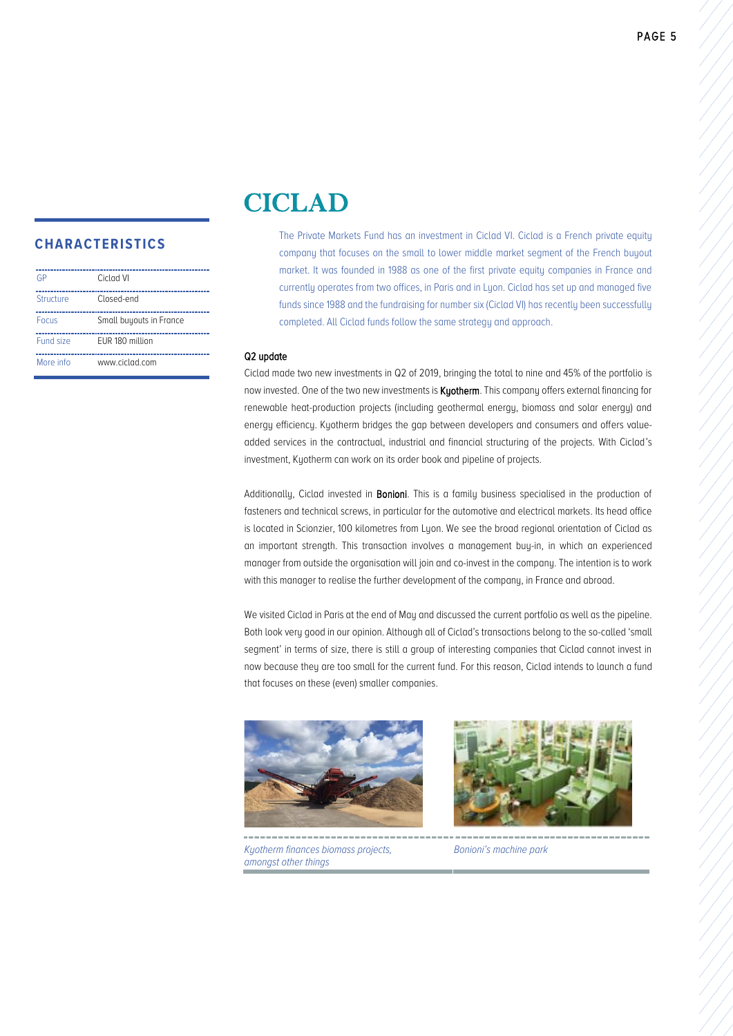| GP               | Ciclad VI               |
|------------------|-------------------------|
| <b>Structure</b> | Closed-end              |
| Focus            | Small buyouts in France |
| Fund size        | EUR 180 million         |
| More info        | www.ciclad.com          |

# CICLAD

The Private Markets Fund has an investment in Ciclad VI. Ciclad is a French private equity company that focuses on the small to lower middle market segment of the French buyout market. It was founded in 1988 as one of the first private equity companies in France and currently operates from two offices, in Paris and in Lyon. Ciclad has set up and managed five funds since 1988 and the fundraising for number six (Ciclad VI) has recently been successfully completed. All Ciclad funds follow the same strategy and approach.

#### Q2 update

Ciclad made two new investments in Q2 of 2019, bringing the total to nine and 45% of the portfolio is now invested. One of the two new investments is **Kyotherm**. This company offers external financing for renewable heat-production projects (including geothermal energy, biomass and solar energy) and energy efficiency. Kyotherm bridges the gap between developers and consumers and offers valueadded services in the contractual, industrial and financial structuring of the projects. With Ciclad's investment, Kyotherm can work on its order book and pipeline of projects.

Additionally, Ciclad invested in **Bonioni**. This is a family business specialised in the production of fasteners and technical screws, in particular for the automotive and electrical markets. Its head office is located in Scionzier, 100 kilometres from Lyon. We see the broad regional orientation of Ciclad as an important strength. This transaction involves a management buy-in, in which an experienced manager from outside the organisation will join and co-invest in the company. The intention is to work with this manager to realise the further development of the company, in France and abroad.

We visited Ciclad in Paris at the end of Mau and discussed the current portfolio as well as the pipeline. Both look very good in our opinion. Although all of Ciclad's transactions belong to the so-called 'small segment' in terms of size, there is still a group of interesting companies that Ciclad cannot invest in now because they are too small for the current fund. For this reason, Ciclad intends to launch a fund that focuses on these (even) smaller companies.





...................... *Kyotherm finances biomass projects, amongst other things*

*Bonioni's machine park*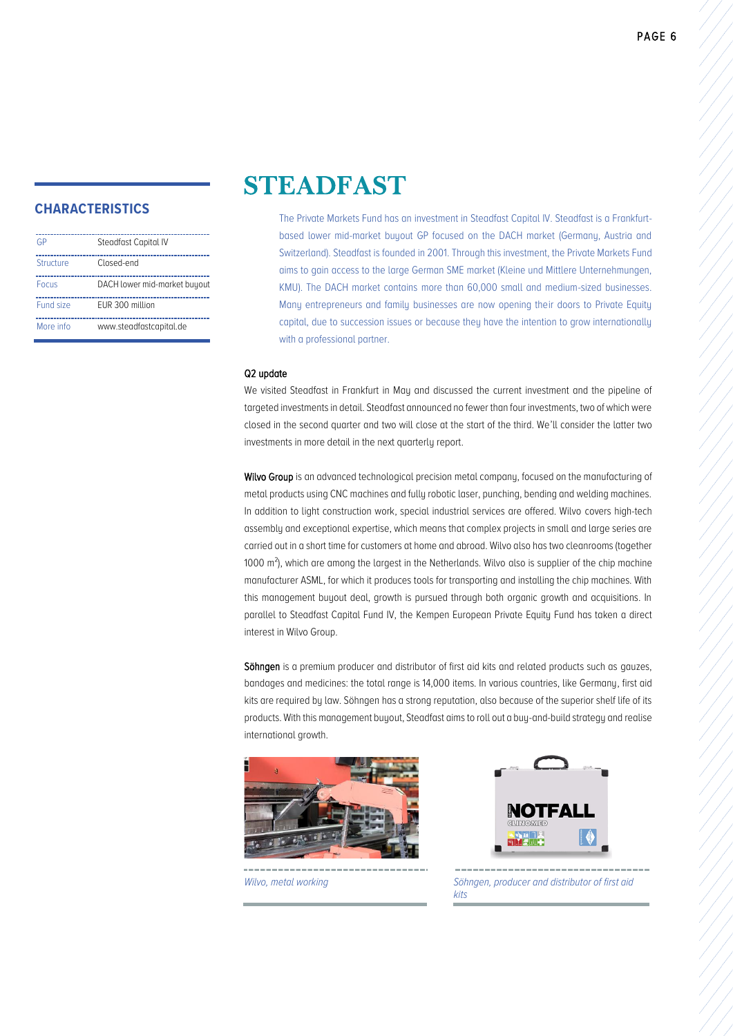| G <sub>P</sub> | Steadfast Capital IV         |
|----------------|------------------------------|
| Structure      | Closed-end                   |
| Focus          | DACH lower mid-market buyout |
| Fund size      | EUR 300 million              |
| More info      | www.steadfastcapital.de      |

# STEADFAST

The Private Markets Fund has an investment in Steadfast Capital IV. Steadfast is a Frankfurtbased lower mid-market buyout GP focused on the DACH market (Germany, Austria and Switzerland). Steadfast is founded in 2001. Through this investment, the Private Markets Fund aims to gain access to the large German SME market (Kleine und Mittlere Unternehmungen, KMU). The DACH market contains more than 60,000 small and medium-sized businesses. Many entrepreneurs and family businesses are now opening their doors to Private Equity capital, due to succession issues or because they have the intention to grow internationally with a professional partner.

#### Q2 update

We visited Steadfast in Frankfurt in Mau and discussed the current investment and the pipeline of targeted investments in detail. Steadfast announced no fewer than four investments, two of which were closed in the second quarter and two will close at the start of the third. We'll consider the latter two investments in more detail in the next quarterly report.

Wilvo Group is an advanced technological precision metal company, focused on the manufacturing of metal products using CNC machines and fully robotic laser, punching, bending and welding machines. In addition to light construction work, special industrial services are offered. Wilvo covers high-tech assembly and exceptional expertise, which means that complex projects in small and large series are carried out in a short time for customers at home and abroad. Wilvo also has two cleanrooms (together 1000 m²), which are among the largest in the Netherlands. Wilvo also is supplier of the chip machine manufacturer ASML, for which it produces tools for transporting and installing the chip machines. With this management buyout deal, growth is pursued through both organic growth and acquisitions. In parallel to Steadfast Capital Fund IV, the Kempen European Private Equity Fund has taken a direct interest in Wilvo Group.

Söhngen is a premium producer and distributor of first aid kits and related products such as gauzes, bandages and medicines: the total range is 14,000 items. In various countries, like Germany, first aid kits are required by law. Söhngen has a strong reputation, also because of the superior shelf life of its products. With this management buyout, Steadfast aims to roll out a buy-and-build strategy and realise international growth.





*Wilvo, metal working Söhngen, producer and distributor of first aid kits*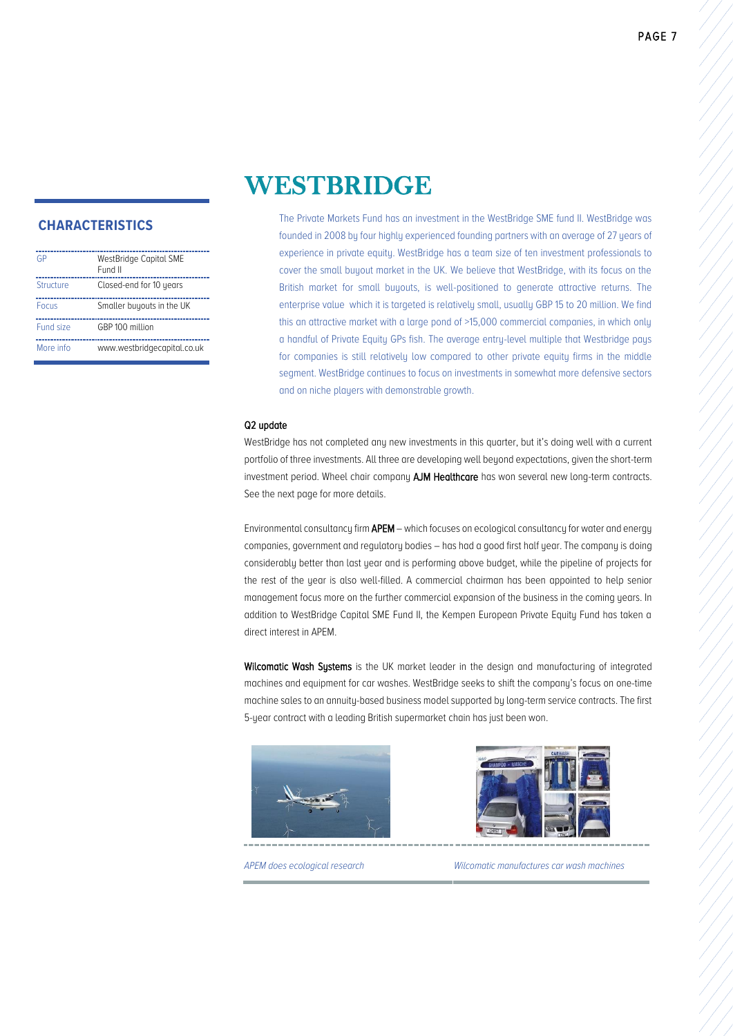| GP           | WestBridge Capital SME<br>Fund II |
|--------------|-----------------------------------|
| Structure    | Closed-end for 10 years           |
| <b>Focus</b> | Smaller buyouts in the UK         |
| Fund size    | GRP 100 million                   |
| More info    | www.westbridgecapital.co.uk       |

# WESTBRIDGE

The Private Markets Fund has an investment in the WestBridge SME fund II. WestBridge was founded in 2008 by four highly experienced founding partners with an average of 27 years of experience in private equity. WestBridge has a team size of ten investment professionals to cover the small buyout market in the UK. We believe that WestBridge, with its focus on the British market for small buyouts, is well-positioned to generate attractive returns. The enterprise value which it is targeted is relatively small, usually GBP 15 to 20 million. We find this an attractive market with a large pond of >15,000 commercial companies, in which only a handful of Private Equity GPs fish. The average entry-level multiple that Westbridge pays for companies is still relatively low compared to other private equity firms in the middle segment. WestBridge continues to focus on investments in somewhat more defensive sectors and on niche players with demonstrable growth.

#### Q2 update

WestBridge has not completed any new investments in this quarter, but it's doing well with a current portfolio of three investments. All three are developing well beyond expectations, given the short-term investment period. Wheel chair company AJM Healthcare has won several new long-term contracts. See the next page for more details.

Environmental consultancy firm APEM – which focuses on ecological consultancy for water and energy companies, government and regulatory bodies – has had a good first half year. The company is doing considerably better than last year and is performing above budget, while the pipeline of projects for the rest of the year is also well-filled. A commercial chairman has been appointed to help senior management focus more on the further commercial expansion of the business in the coming years. In addition to WestBridge Capital SME Fund II, the Kempen European Private Equity Fund has taken a direct interest in APEM.

Wilcomatic Wash Systems is the UK market leader in the design and manufacturing of integrated machines and equipment for car washes. WestBridge seeks to shift the company's focus on one-time machine sales to an annuity-based business model supported by long-term service contracts. The first 5-year contract with a leading British supermarket chain has just been won.





*APEM does ecological research Wilcomatic manufactures car wash machines*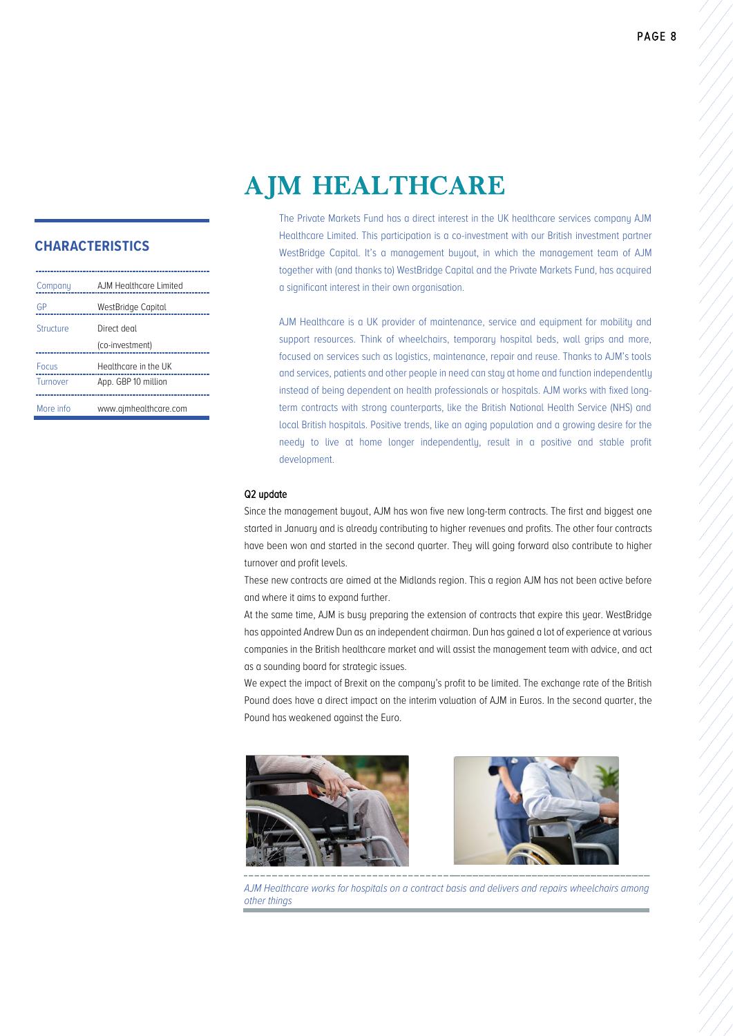# AJM HEALTHCARE

### **CHARACTERISTICS**

| Company      | AJM Healthcare Limited |
|--------------|------------------------|
| GΡ           | WestBridge Capital     |
| Structure    | Direct deal            |
|              | (co-investment)        |
| <b>Focus</b> | Healthcare in the UK   |
| Turnover     | App. GBP 10 million    |
| More info    | www.ajmhealthcare.com  |

The Private Markets Fund has a direct interest in the UK healthcare services company AJM Healthcare Limited. This participation is a co-investment with our British investment partner WestBridge Capital. It's a management buyout, in which the management team of AJM together with (and thanks to) WestBridge Capital and the Private Markets Fund, has acquired a significant interest in their own organisation.

AJM Healthcare is a UK provider of maintenance, service and equipment for mobility and support resources. Think of wheelchairs, temporary hospital beds, wall grips and more, focused on services such as logistics, maintenance, repair and reuse. Thanks to AJM's tools and services, patients and other people in need can stay at home and function independently instead of being dependent on health professionals or hospitals. AJM works with fixed longterm contracts with strong counterparts, like the British National Health Service (NHS) and local British hospitals. Positive trends, like an aging population and a growing desire for the needy to live at home longer independently, result in a positive and stable profit development.

#### Q2 update

Since the management buyout, AJM has won five new long-term contracts. The first and biggest one started in January and is already contributing to higher revenues and profits. The other four contracts have been won and started in the second quarter. They will going forward also contribute to higher turnover and profit levels.

These new contracts are aimed at the Midlands region. This a region AJM has not been active before and where it aims to expand further.

At the same time, AJM is busy preparing the extension of contracts that expire this year. WestBridge has appointed Andrew Dun as an independent chairman. Dun has gained a lot of experience at various companies in the British healthcare market and will assist the management team with advice, and act as a sounding board for strategic issues.

We expect the impact of Brexit on the company's profit to be limited. The exchange rate of the British Pound does have a direct impact on the interim valuation of AJM in Euros. In the second quarter, the Pound has weakened against the Euro.





*AJM Healthcare works for hospitals on a contract basis and delivers and repairs wheelchairs among other things*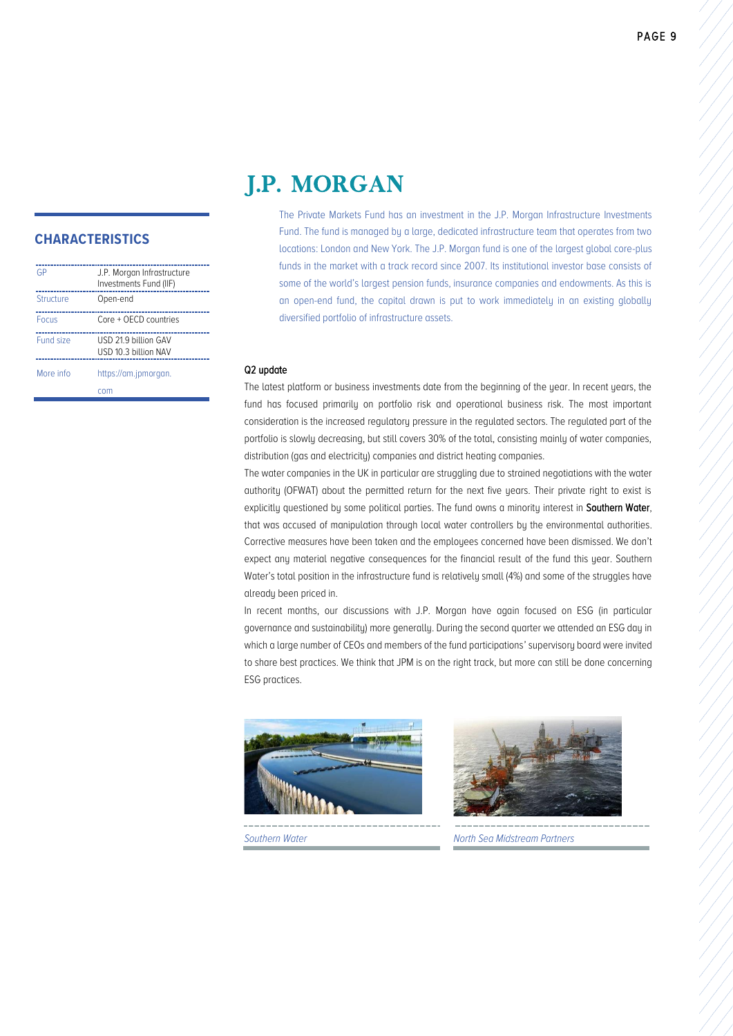# J.P. MORGAN

### **CHARACTERISTICS**

| GP           | J.P. Morgan Infrastructure<br>Investments Fund (IIF) |
|--------------|------------------------------------------------------|
| Structure    | Open-end                                             |
| <b>Focus</b> | Core + OECD countries                                |
| Fund size    | USD 21.9 billion GAV<br>USD 10.3 billion NAV         |
| More info    | https://am.jpmorgan.                                 |
|              | com                                                  |

The Private Markets Fund has an investment in the J.P. Morgan Infrastructure Investments Fund. The fund is managed by a large, dedicated infrastructure team that operates from two locations: London and New York. The J.P. Morgan fund is one of the largest global core-plus funds in the market with a track record since 2007. Its institutional investor base consists of some of the world's largest pension funds, insurance companies and endowments. As this is an open-end fund, the capital drawn is put to work immediately in an existing globally diversified portfolio of infrastructure assets.

#### Q2 update

The latest platform or business investments date from the beginning of the year. In recent years, the fund has focused primarily on portfolio risk and operational business risk. The most important consideration is the increased regulatory pressure in the regulated sectors. The regulated part of the portfolio is slowly decreasing, but still covers 30% of the total, consisting mainly of water companies, distribution (gas and electricity) companies and district heating companies.

The water companies in the UK in particular are struggling due to strained negotiations with the water authority (OFWAT) about the permitted return for the next five years. Their private right to exist is explicitly questioned by some political parties. The fund owns a minority interest in Southern Water, that was accused of manipulation through local water controllers by the environmental authorities. Corrective measures have been taken and the employees concerned have been dismissed. We don't expect any material negative consequences for the financial result of the fund this year. Southern Water's total position in the infrastructure fund is relatively small (4%) and some of the struggles have already been priced in.

In recent months, our discussions with J.P. Morgan have again focused on ESG (in particular governance and sustainability) more generally. During the second quarter we attended an ESG day in which a large number of CEOs and members of the fund participations' supervisory board were invited to share best practices. We think that JPM is on the right track, but more can still be done concerning ESG practices.





*Southern Water North Sea Midstream Partners*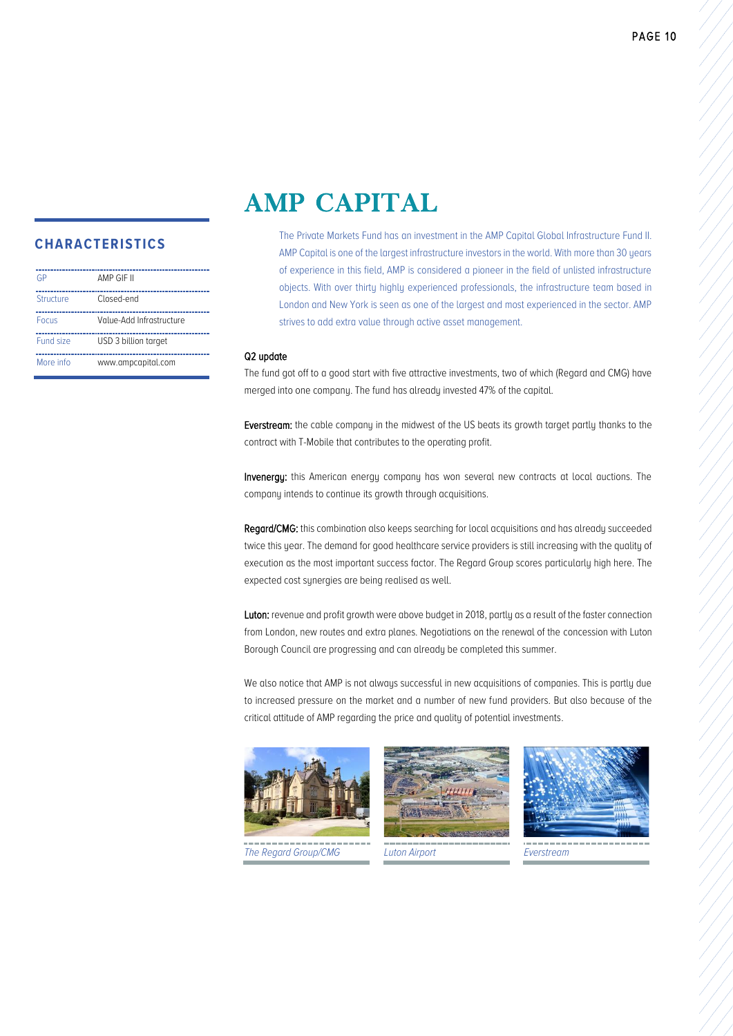# AMP CAPITAL

### **CHARACTERISTICS**

| GP        | AMP GIF II               |
|-----------|--------------------------|
| Structure | Closed-end               |
| Focus     | Value-Add Infrastructure |
| Fund size | USD 3 billion target     |
| More info | www.ampcapital.com       |

The Private Markets Fund has an investment in the AMP Capital Global Infrastructure Fund II. AMP Capital is one of the largest infrastructure investors in the world. With more than 30 years of experience in this field, AMP is considered a pioneer in the field of unlisted infrastructure objects. With over thirty highly experienced professionals, the infrastructure team based in London and New York is seen as one of the largest and most experienced in the sector. AMP strives to add extra value through active asset management.

#### Q2 update

The fund got off to a good start with five attractive investments, two of which (Regard and CMG) have merged into one company. The fund has already invested 47% of the capital.

Everstream: the cable company in the midwest of the US beats its growth target partly thanks to the contract with T-Mobile that contributes to the operating profit.

Invenergy: this American energy company has won several new contracts at local auctions. The company intends to continue its growth through acquisitions.

Regard/CMG: this combination also keeps searching for local acquisitions and has already succeeded twice this year. The demand for good healthcare service providers is still increasing with the quality of execution as the most important success factor. The Regard Group scores particularly high here. The expected cost synergies are being realised as well.

Luton: revenue and profit growth were above budget in 2018, partly as a result of the faster connection from London, new routes and extra planes. Negotiations on the renewal of the concession with Luton Borough Council are progressing and can already be completed this summer.

We also notice that AMP is not always successful in new acquisitions of companies. This is partly due to increased pressure on the market and a number of new fund providers. But also because of the critical attitude of AMP regarding the price and quality of potential investments.







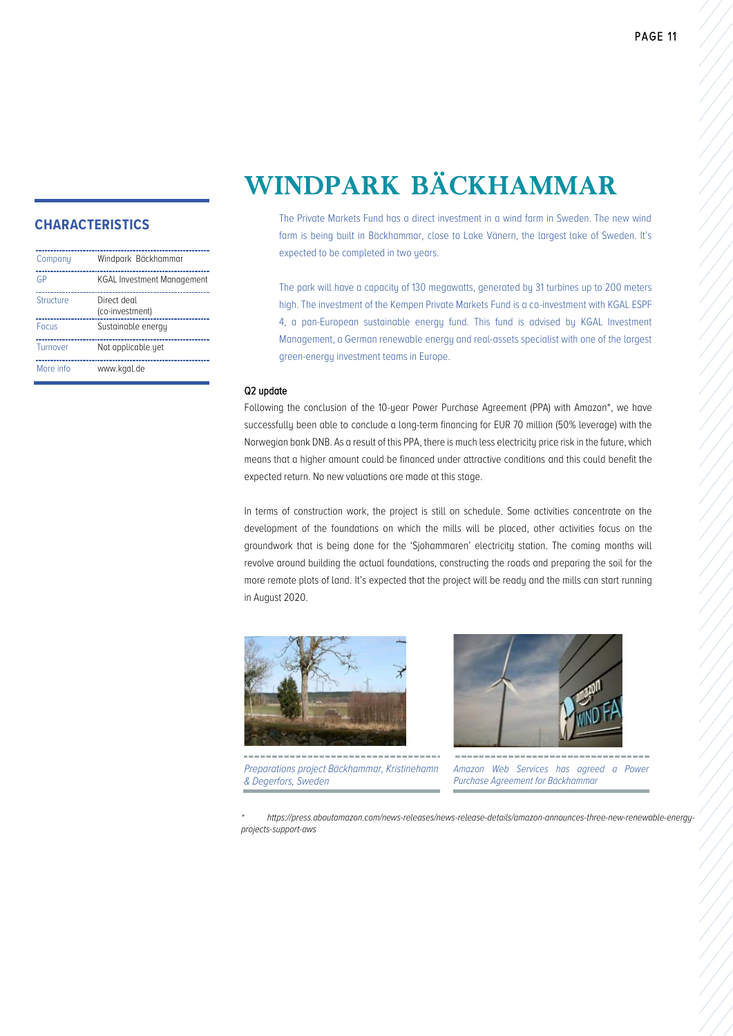# WINDPARK BÄCKHAMMAR

### **CHARACTERISTICS**

| Company          | Windpark Bäckhammar               |
|------------------|-----------------------------------|
| GP               | <b>KGAL Investment Management</b> |
| <b>Structure</b> | Direct deal<br>(co-investment)    |
| Focus            | Sustainable energy                |
| <b>Turnover</b>  | Not applicable yet                |
| More info        | www.kgal.de                       |

The Private Markets Fund has a direct investment in a wind farm in Sweden. The new wind farm is being built in Bäckhammar, close to Lake Vänern, the largest lake of Sweden. It's expected to be completed in two years.

The park will have a capacity of 130 megawatts, generated by 31 turbines up to 200 meters high. The investment of the Kempen Private Markets Fund is a co-investment with KGAL ESPF 4, a pan-European sustainable energy fund. This fund is advised by KGAL Investment Management, a German renewable energy and real-assets specialist with one of the largest green-energy investment teams in Europe.

#### Q2 update

Following the conclusion of the 10-year Power Purchase Agreement (PPA) with Amazon\*, we have successfully been able to conclude a long-term financing for EUR 70 million (50% leverage) with the Norwegian bank DNB. As a result of this PPA, there is much less electricity price risk in the future, which means that a higher amount could be financed under attractive conditions and this could benefit the expected return. No new valuations are made at this stage.

In terms of construction work, the project is still on schedule. Some activities concentrate on the development of the foundations on which the mills will be placed, other activities focus on the groundwork that is being done for the 'Sjohammaren' electricity station. The coming months will revolve around building the actual foundations, constructing the roads and preparing the soil for the more remote plots of land. It's expected that the project will be ready and the mills can start running in August 2020.



*Preparations project Bäckhammar, Kristinehamn & Degerfors, Sweden*



*Amazon Web Services has agreed a Power Purchase Agreement for Bäckhammar*

*\* https://press.aboutamazon.com/news-releases/news-release-details/amazon-announces-three-new-renewable-energyprojects-support-aws*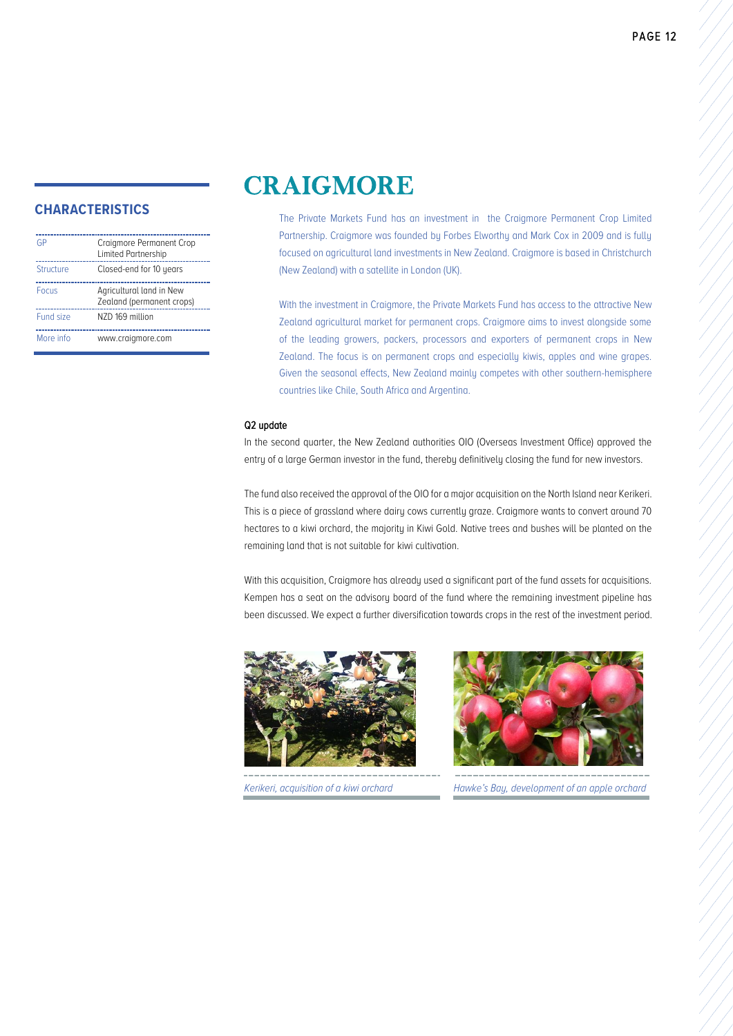| GP               | Craigmore Permanent Crop<br>Limited Partnership       |
|------------------|-------------------------------------------------------|
| <b>Structure</b> | Closed-end for 10 years                               |
| <b>Focus</b>     | Agricultural land in New<br>Zealand (permanent crops) |
| <b>Fund size</b> | NZD 169 million                                       |
| More info        | www.craigmore.com                                     |

# **CRAIGMORE**

The Private Markets Fund has an investment in the Craigmore Permanent Crop Limited Partnership. Craigmore was founded by Forbes Elworthy and Mark Cox in 2009 and is fully focused on agricultural land investments in New Zealand. Craigmore is based in Christchurch (New Zealand) with a satellite in London (UK).

With the investment in Craigmore, the Private Markets Fund has access to the attractive New Zealand agricultural market for permanent crops. Craigmore aims to invest alongside some of the leading growers, packers, processors and exporters of permanent crops in New Zealand. The focus is on permanent crops and especially kiwis, apples and wine grapes. Given the seasonal effects, New Zealand mainly competes with other southern-hemisphere countries like Chile, South Africa and Argentina.

#### Q2 update

In the second quarter, the New Zealand authorities OIO (Overseas Investment Office) approved the entry of a large German investor in the fund, thereby definitively closing the fund for new investors.

The fund also received the approval of the OIO for a major acquisition on the North Island near Kerikeri. This is a piece of grassland where dairy cows currently graze. Craigmore wants to convert around 70 hectares to a kiwi orchard, the majority in Kiwi Gold. Native trees and bushes will be planted on the remaining land that is not suitable for kiwi cultivation.

With this acquisition, Craigmore has already used a significant part of the fund assets for acquisitions. Kempen has a seat on the advisory board of the fund where the remaining investment pipeline has been discussed. We expect a further diversification towards crops in the rest of the investment period.





*Kerikeri, acquisition of a kiwi orchard Hawke's Bay, development of an apple orchard*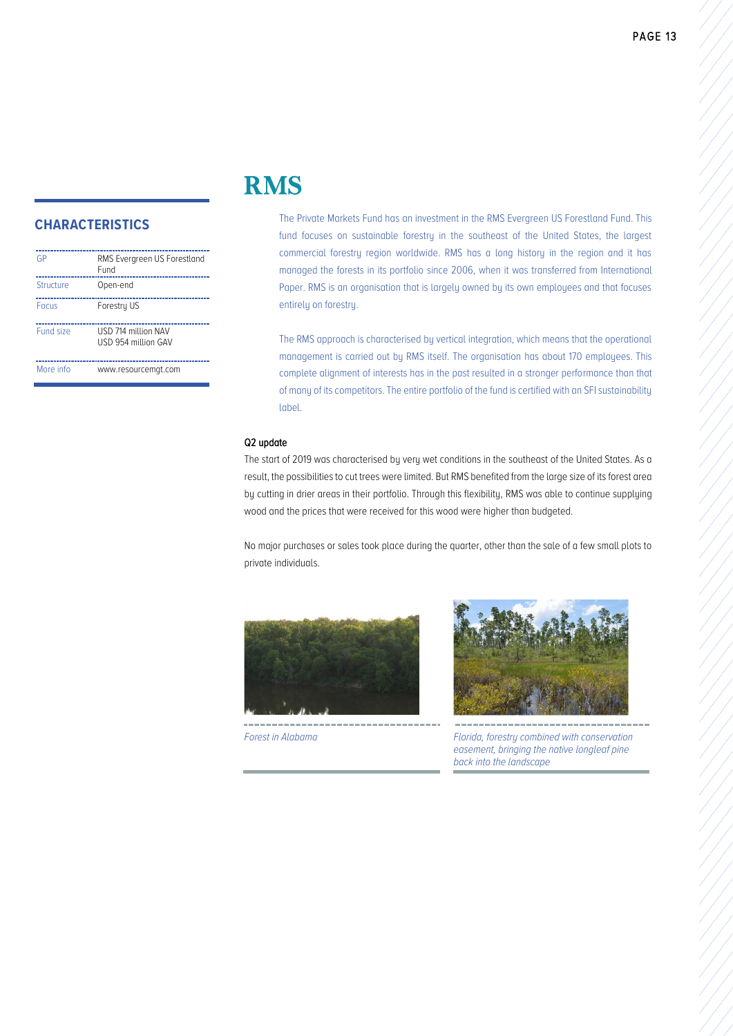| GP        | RMS Evergreen US Forestland<br>Fund        |
|-----------|--------------------------------------------|
| Structure | Open-end                                   |
| Focus     | Forestry US                                |
| Fund size | USD 714 million NAV<br>USD 954 million GAV |
| More info | www.resourcemgt.com                        |

# RMS

The Private Markets Fund has an investment in the RMS Evergreen US Forestland Fund. This fund focuses on sustainable forestry in the southeast of the United States, the largest commercial forestry region worldwide. RMS has a long history in the region and it has managed the forests in its portfolio since 2006, when it was transferred from International Paper. RMS is an organisation that is largely owned by its own employees and that focuses entirely on forestry.

The RMS approach is characterised by vertical integration, which means that the operational management is carried out by RMS itself. The organisation has about 170 employees. This complete alignment of interests has in the past resulted in a stronger performance than that of many of its competitors. The entire portfolio of the fund is certified with an SFI sustainability label.

#### Q2 update

The start of 2019 was characterised by very wet conditions in the southeast of the United States. As a result, the possibilities to cut trees were limited. But RMS benefited from the large size of its forest area by cutting in drier areas in their portfolio. Through this flexibility, RMS was able to continue supplying wood and the prices that were received for this wood were higher than budgeted.

No major purchases or sales took place during the quarter, other than the sale of a few small plots to private individuals.





*Forest in Alabama Florida, forestry combined with conservation easement, bringing the native longleaf pine back into the landscape*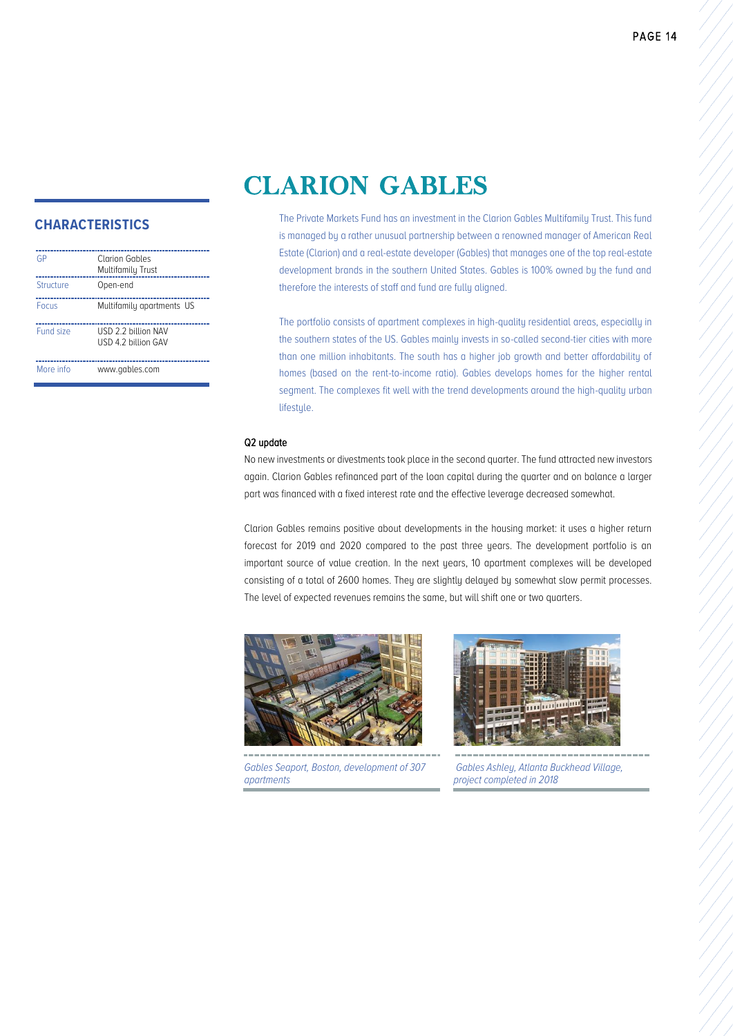# CLARION GABLES

### **CHARACTERISTICS**

| GP        | Clarion Gables<br>Multifamily Trust        |
|-----------|--------------------------------------------|
| Structure | Open-end                                   |
| Focus     | Multifamily apartments US                  |
| Fund size | USD 2 2 billion NAV<br>USD 4.2 billion GAV |
| More info | www.gables.com                             |

The Private Markets Fund has an investment in the Clarion Gables Multifamily Trust. This fund is managed by a rather unusual partnership between a renowned manager of American Real Estate (Clarion) and a real-estate developer (Gables) that manages one of the top real-estate development brands in the southern United States. Gables is 100% owned by the fund and therefore the interests of staff and fund are fully aligned.

The portfolio consists of apartment complexes in high-quality residential areas, especially in the southern states of the US. Gables mainly invests in so-called second-tier cities with more than one million inhabitants. The south has a higher job growth and better affordability of homes (based on the rent-to-income ratio). Gables develops homes for the higher rental segment. The complexes fit well with the trend developments around the high-quality urban lifestyle.

#### Q2 update

No new investments or divestments took place in the second quarter. The fund attracted new investors again. Clarion Gables refinanced part of the loan capital during the quarter and on balance a larger part was financed with a fixed interest rate and the effective leverage decreased somewhat.

Clarion Gables remains positive about developments in the housing market: it uses a higher return forecast for 2019 and 2020 compared to the past three years. The development portfolio is an important source of value creation. In the next years, 10 apartment complexes will be developed consisting of a total of 2600 homes. They are slightly delayed by somewhat slow permit processes. The level of expected revenues remains the same, but will shift one or two quarters.



*Gables Seaport, Boston, development of 307 apartments*



*Gables Ashley, Atlanta Buckhead Village, project completed in 2018*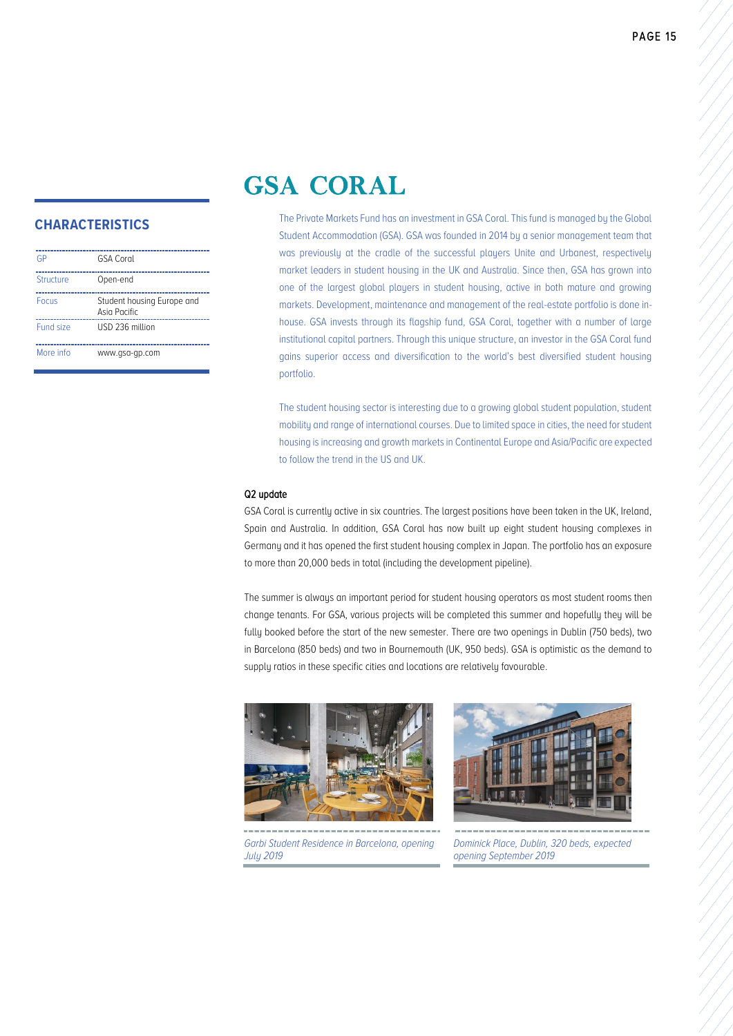# GSA CORAL

### **CHARACTERISTICS**

| GP        | <b>GSA Coral</b>                           |
|-----------|--------------------------------------------|
| Structure | Open-end                                   |
| Focus     | Student housing Europe and<br>Asia Pacific |
| Fund size | USD 236 million                            |
| More info | www.gsa-gp.com                             |

The Private Markets Fund has an investment in GSA Coral. This fund is managed by the Global Student Accommodation (GSA). GSA was founded in 2014 by a senior management team that was previously at the cradle of the successful players Unite and Urbanest, respectively market leaders in student housing in the UK and Australia. Since then, GSA has grown into one of the largest global players in student housing, active in both mature and growing markets. Development, maintenance and management of the real-estate portfolio is done inhouse. GSA invests through its flagship fund, GSA Coral, together with a number of large institutional capital partners. Through this unique structure, an investor in the GSA Coral fund gains superior access and diversification to the world's best diversified student housing portfolio.

The student housing sector is interesting due to a growing global student population, student mobility and range of international courses. Due to limited space in cities, the need for student housing is increasing and growth markets in Continental Europe and Asia/Pacific are expected to follow the trend in the US and UK.

#### Q2 update

GSA Coral is currently active in six countries. The largest positions have been taken in the UK, Ireland, Spain and Australia. In addition, GSA Coral has now built up eight student housing complexes in Germany and it has opened the first student housing complex in Japan. The portfolio has an exposure to more than 20,000 beds in total (including the development pipeline).

The summer is always an important period for student housing operators as most student rooms then change tenants. For GSA, various projects will be completed this summer and hopefully they will be fully booked before the start of the new semester. There are two openings in Dublin (750 beds), two in Barcelona (850 beds) and two in Bournemouth (UK, 950 beds). GSA is optimistic as the demand to supply ratios in these specific cities and locations are relatively favourable.



*Garbi Student Residence in Barcelona, opening July 2019*



*Dominick Place, Dublin, 320 beds, expected opening September 2019*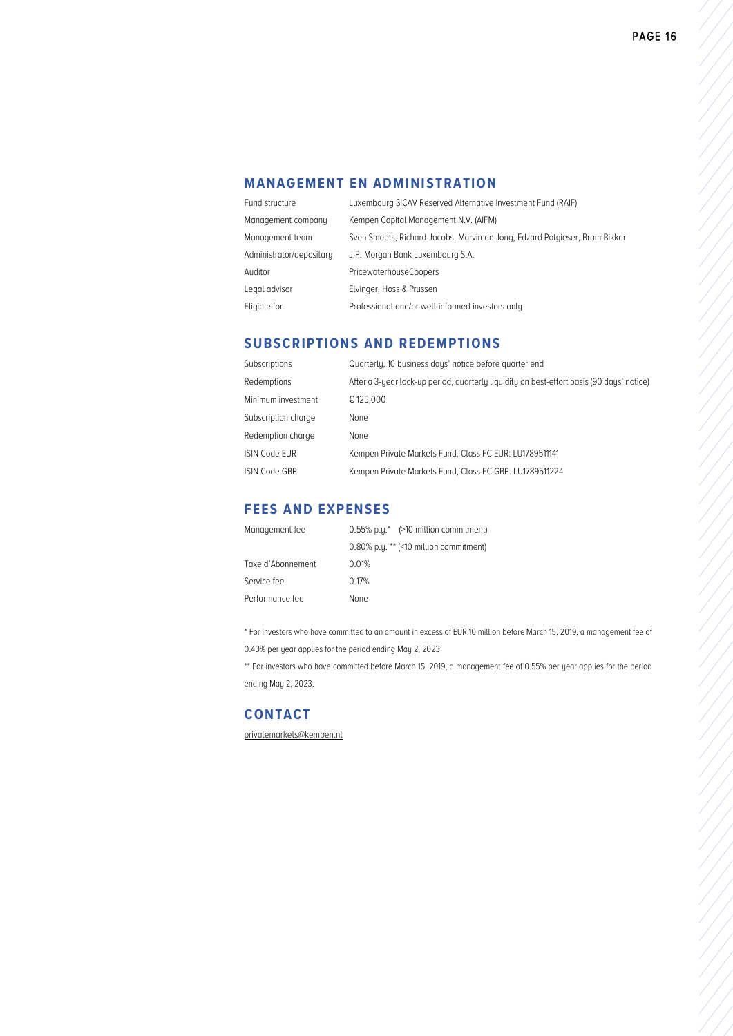# **MANAGEMENT EN ADMINISTRATION**

| Fund structure           | Luxembourg SICAV Reserved Alternative Investment Fund (RAIF)               |  |
|--------------------------|----------------------------------------------------------------------------|--|
| Management company       | Kempen Capital Management N.V. (AIFM)                                      |  |
| Management team          | Sven Smeets, Richard Jacobs, Marvin de Jong, Edzard Potgieser, Bram Bikker |  |
| Administrator/depositary | J.P. Morgan Bank Luxembourg S.A.                                           |  |
| Auditor                  | <b>PricewaterhouseCoopers</b>                                              |  |
| Legal advisor            | Elvinger, Hoss & Prussen                                                   |  |
| Eligible for             | Professional and/or well-informed investors only                           |  |

# **SUBSCRIPTIONS AND REDEMPTIONS**

| <b>Subscriptions</b> | Quarterly, 10 business days' notice before quarter end                                    |
|----------------------|-------------------------------------------------------------------------------------------|
| Redemptions          | After a 3-year lock-up period, quarterly liquidity on best-effort basis (90 days' notice) |
| Minimum investment   | € 125,000                                                                                 |
| Subscription charge  | None                                                                                      |
| Redemption charge    | None                                                                                      |
| <b>ISIN Code EUR</b> | Kempen Private Markets Fund, Class FC EUR: LU1789511141                                   |
| <b>ISIN Code GBP</b> | Kempen Private Markets Fund, Class FC GBP: LU1789511224                                   |

# **FEES AND EXPENSES**

| Management fee    | $0.55\%$ p.u.* (>10 million commitment)   |
|-------------------|-------------------------------------------|
|                   | $0.80\%$ p.u. ** (<10 million commitment) |
| Taxe d'Abonnement | 0.01%                                     |
| Service fee       | 0.17%                                     |
| Performance fee   | None                                      |

\* For investors who have committed to an amount in excess of EUR 10 million before March 15, 2019, a management fee of 0.40% per year applies for the period ending May 2, 2023.

\*\* For investors who have committed before March 15, 2019, a management fee of 0.55% per year applies for the period ending May 2, 2023.

# **CONTACT**

[privatemarkets@kempen.nl](mailto:privatemarkets@kempen.nl?subject=Quarterly%20Investment%20Letter)